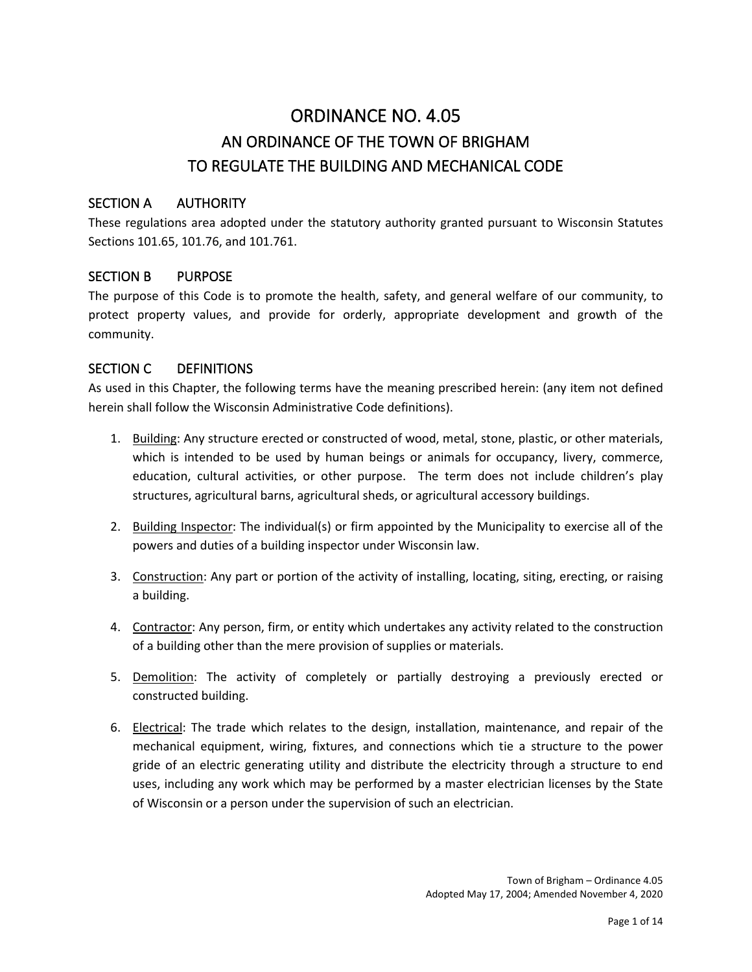# ORDINANCE NO. 4.05 AN ORDINANCE OF THE TOWN OF BRIGHAM TO REGULATE THE BUILDING AND MECHANICAL CODE

# SECTION A AUTHORITY

These regulations area adopted under the statutory authority granted pursuant to Wisconsin Statutes Sections 101.65, 101.76, and 101.761.

#### SECTION B PURPOSE

The purpose of this Code is to promote the health, safety, and general welfare of our community, to protect property values, and provide for orderly, appropriate development and growth of the community.

#### SECTION C DEFINITIONS

As used in this Chapter, the following terms have the meaning prescribed herein: (any item not defined herein shall follow the Wisconsin Administrative Code definitions).

- 1. Building: Any structure erected or constructed of wood, metal, stone, plastic, or other materials, which is intended to be used by human beings or animals for occupancy, livery, commerce, education, cultural activities, or other purpose. The term does not include children's play structures, agricultural barns, agricultural sheds, or agricultural accessory buildings.
- 2. Building Inspector: The individual(s) or firm appointed by the Municipality to exercise all of the powers and duties of a building inspector under Wisconsin law.
- 3. Construction: Any part or portion of the activity of installing, locating, siting, erecting, or raising a building.
- 4. Contractor: Any person, firm, or entity which undertakes any activity related to the construction of a building other than the mere provision of supplies or materials.
- 5. Demolition: The activity of completely or partially destroying a previously erected or constructed building.
- 6. Electrical: The trade which relates to the design, installation, maintenance, and repair of the mechanical equipment, wiring, fixtures, and connections which tie a structure to the power gride of an electric generating utility and distribute the electricity through a structure to end uses, including any work which may be performed by a master electrician licenses by the State of Wisconsin or a person under the supervision of such an electrician.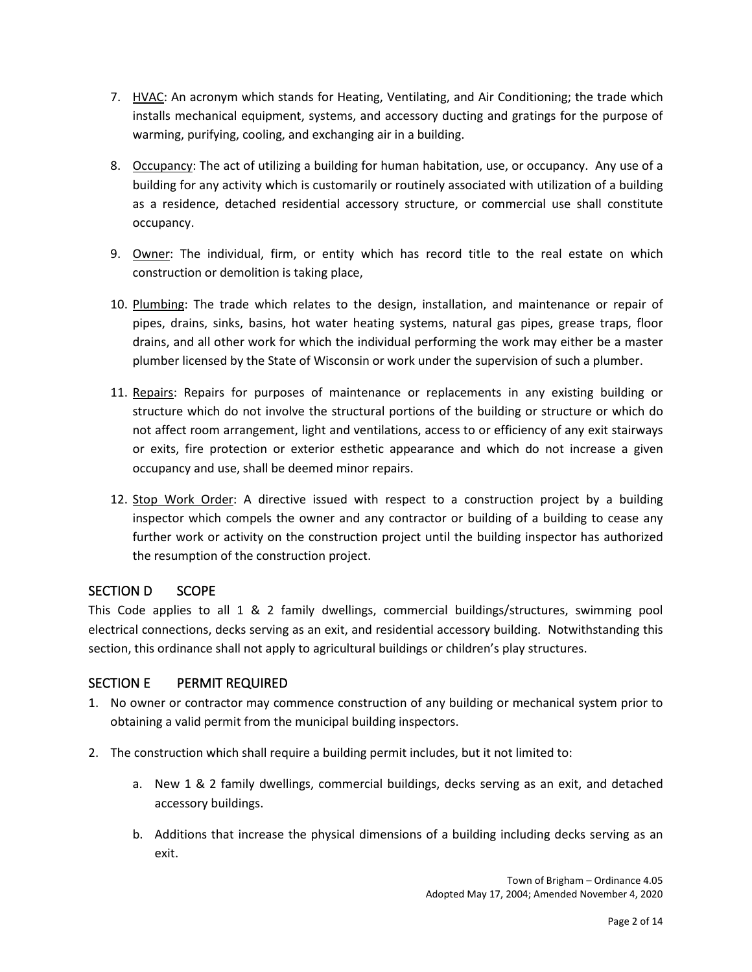- 7. HVAC: An acronym which stands for Heating, Ventilating, and Air Conditioning; the trade which installs mechanical equipment, systems, and accessory ducting and gratings for the purpose of warming, purifying, cooling, and exchanging air in a building.
- 8. Occupancy: The act of utilizing a building for human habitation, use, or occupancy. Any use of a building for any activity which is customarily or routinely associated with utilization of a building as a residence, detached residential accessory structure, or commercial use shall constitute occupancy.
- 9. Owner: The individual, firm, or entity which has record title to the real estate on which construction or demolition is taking place,
- 10. Plumbing: The trade which relates to the design, installation, and maintenance or repair of pipes, drains, sinks, basins, hot water heating systems, natural gas pipes, grease traps, floor drains, and all other work for which the individual performing the work may either be a master plumber licensed by the State of Wisconsin or work under the supervision of such a plumber.
- 11. Repairs: Repairs for purposes of maintenance or replacements in any existing building or structure which do not involve the structural portions of the building or structure or which do not affect room arrangement, light and ventilations, access to or efficiency of any exit stairways or exits, fire protection or exterior esthetic appearance and which do not increase a given occupancy and use, shall be deemed minor repairs.
- 12. Stop Work Order: A directive issued with respect to a construction project by a building inspector which compels the owner and any contractor or building of a building to cease any further work or activity on the construction project until the building inspector has authorized the resumption of the construction project.

#### SECTION D SCOPE

This Code applies to all 1 & 2 family dwellings, commercial buildings/structures, swimming pool electrical connections, decks serving as an exit, and residential accessory building. Notwithstanding this section, this ordinance shall not apply to agricultural buildings or children's play structures.

# SECTION E PERMIT REQUIRED

- 1. No owner or contractor may commence construction of any building or mechanical system prior to obtaining a valid permit from the municipal building inspectors.
- 2. The construction which shall require a building permit includes, but it not limited to:
	- a. New 1 & 2 family dwellings, commercial buildings, decks serving as an exit, and detached accessory buildings.
	- b. Additions that increase the physical dimensions of a building including decks serving as an exit.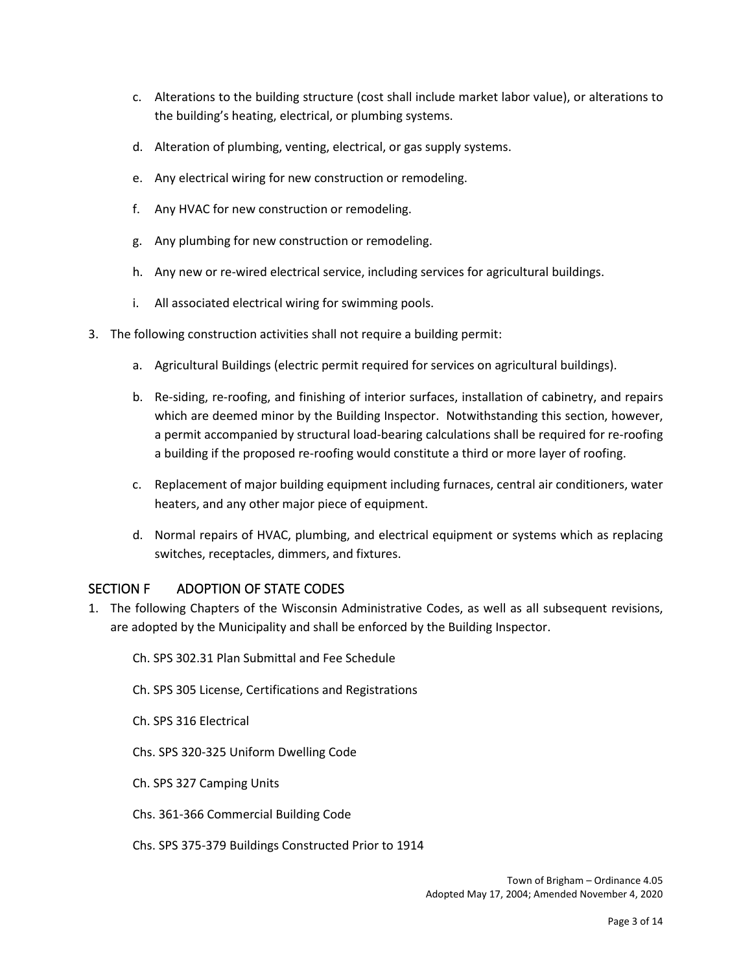- c. Alterations to the building structure (cost shall include market labor value), or alterations to the building's heating, electrical, or plumbing systems.
- d. Alteration of plumbing, venting, electrical, or gas supply systems.
- e. Any electrical wiring for new construction or remodeling.
- f. Any HVAC for new construction or remodeling.
- g. Any plumbing for new construction or remodeling.
- h. Any new or re-wired electrical service, including services for agricultural buildings.
- i. All associated electrical wiring for swimming pools.
- 3. The following construction activities shall not require a building permit:
	- a. Agricultural Buildings (electric permit required for services on agricultural buildings).
	- b. Re-siding, re-roofing, and finishing of interior surfaces, installation of cabinetry, and repairs which are deemed minor by the Building Inspector. Notwithstanding this section, however, a permit accompanied by structural load-bearing calculations shall be required for re-roofing a building if the proposed re-roofing would constitute a third or more layer of roofing.
	- c. Replacement of major building equipment including furnaces, central air conditioners, water heaters, and any other major piece of equipment.
	- d. Normal repairs of HVAC, plumbing, and electrical equipment or systems which as replacing switches, receptacles, dimmers, and fixtures.

#### SECTION F ADOPTION OF STATE CODES

- 1. The following Chapters of the Wisconsin Administrative Codes, as well as all subsequent revisions, are adopted by the Municipality and shall be enforced by the Building Inspector.
	- Ch. SPS 302.31 Plan Submittal and Fee Schedule
	- Ch. SPS 305 License, Certifications and Registrations
	- Ch. SPS 316 Electrical
	- Chs. SPS 320-325 Uniform Dwelling Code
	- Ch. SPS 327 Camping Units
	- Chs. 361-366 Commercial Building Code
	- Chs. SPS 375-379 Buildings Constructed Prior to 1914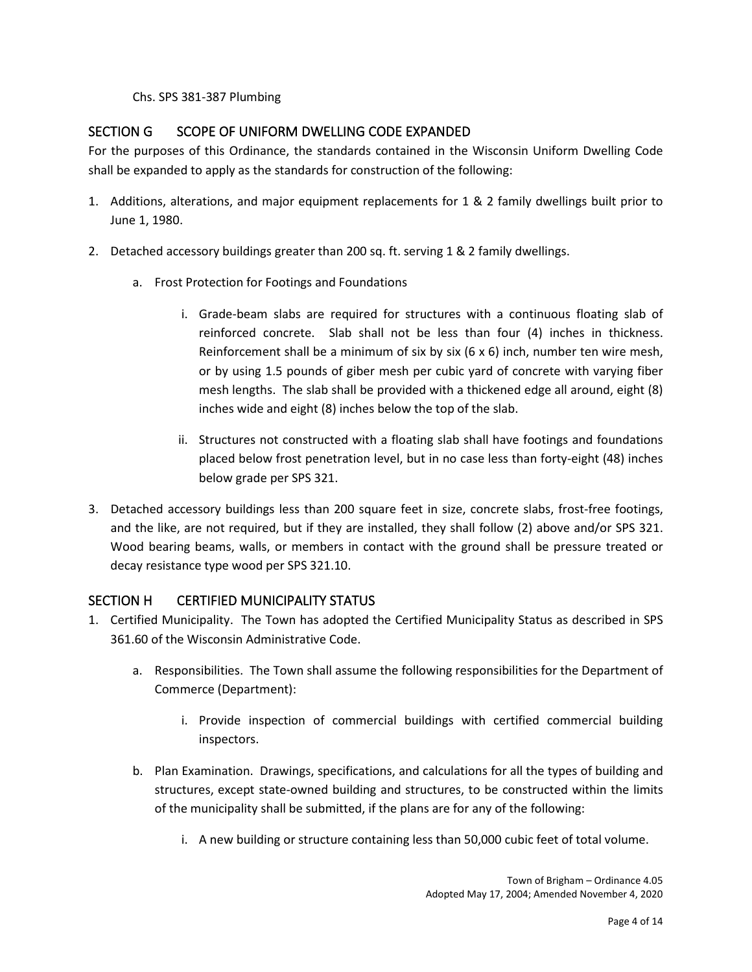Chs. SPS 381-387 Plumbing

# SECTION G SCOPE OF UNIFORM DWELLING CODE EXPANDED

For the purposes of this Ordinance, the standards contained in the Wisconsin Uniform Dwelling Code shall be expanded to apply as the standards for construction of the following:

- 1. Additions, alterations, and major equipment replacements for 1 & 2 family dwellings built prior to June 1, 1980.
- 2. Detached accessory buildings greater than 200 sq. ft. serving 1 & 2 family dwellings.
	- a. Frost Protection for Footings and Foundations
		- i. Grade-beam slabs are required for structures with a continuous floating slab of reinforced concrete. Slab shall not be less than four (4) inches in thickness. Reinforcement shall be a minimum of six by six  $(6 \times 6)$  inch, number ten wire mesh, or by using 1.5 pounds of giber mesh per cubic yard of concrete with varying fiber mesh lengths. The slab shall be provided with a thickened edge all around, eight (8) inches wide and eight (8) inches below the top of the slab.
		- ii. Structures not constructed with a floating slab shall have footings and foundations placed below frost penetration level, but in no case less than forty-eight (48) inches below grade per SPS 321.
- 3. Detached accessory buildings less than 200 square feet in size, concrete slabs, frost-free footings, and the like, are not required, but if they are installed, they shall follow (2) above and/or SPS 321. Wood bearing beams, walls, or members in contact with the ground shall be pressure treated or decay resistance type wood per SPS 321.10.

# SECTION H CERTIFIED MUNICIPALITY STATUS

- 1. Certified Municipality. The Town has adopted the Certified Municipality Status as described in SPS 361.60 of the Wisconsin Administrative Code.
	- a. Responsibilities. The Town shall assume the following responsibilities for the Department of Commerce (Department):
		- i. Provide inspection of commercial buildings with certified commercial building inspectors.
	- b. Plan Examination. Drawings, specifications, and calculations for all the types of building and structures, except state-owned building and structures, to be constructed within the limits of the municipality shall be submitted, if the plans are for any of the following:
		- i. A new building or structure containing less than 50,000 cubic feet of total volume.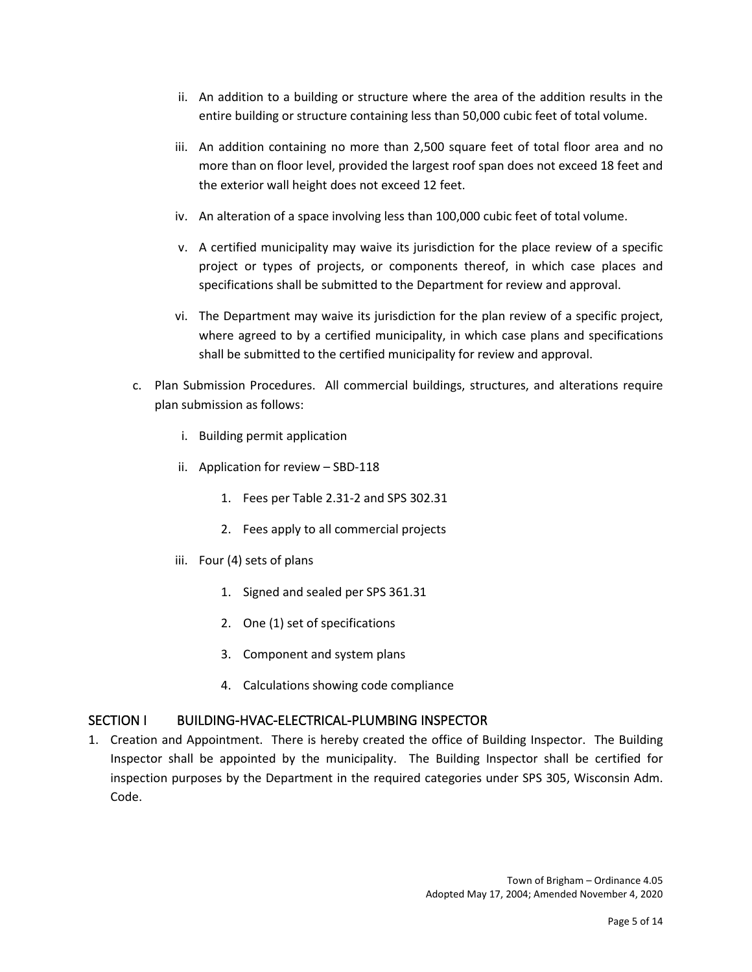- ii. An addition to a building or structure where the area of the addition results in the entire building or structure containing less than 50,000 cubic feet of total volume.
- iii. An addition containing no more than 2,500 square feet of total floor area and no more than on floor level, provided the largest roof span does not exceed 18 feet and the exterior wall height does not exceed 12 feet.
- iv. An alteration of a space involving less than 100,000 cubic feet of total volume.
- v. A certified municipality may waive its jurisdiction for the place review of a specific project or types of projects, or components thereof, in which case places and specifications shall be submitted to the Department for review and approval.
- vi. The Department may waive its jurisdiction for the plan review of a specific project, where agreed to by a certified municipality, in which case plans and specifications shall be submitted to the certified municipality for review and approval.
- c. Plan Submission Procedures. All commercial buildings, structures, and alterations require plan submission as follows:
	- i. Building permit application
	- ii. Application for review SBD-118
		- 1. Fees per Table 2.31-2 and SPS 302.31
		- 2. Fees apply to all commercial projects
	- iii. Four (4) sets of plans
		- 1. Signed and sealed per SPS 361.31
		- 2. One (1) set of specifications
		- 3. Component and system plans
		- 4. Calculations showing code compliance

#### SECTION I BUILDING-HVAC-ELECTRICAL-PLUMBING INSPECTOR

1. Creation and Appointment. There is hereby created the office of Building Inspector. The Building Inspector shall be appointed by the municipality. The Building Inspector shall be certified for inspection purposes by the Department in the required categories under SPS 305, Wisconsin Adm. Code.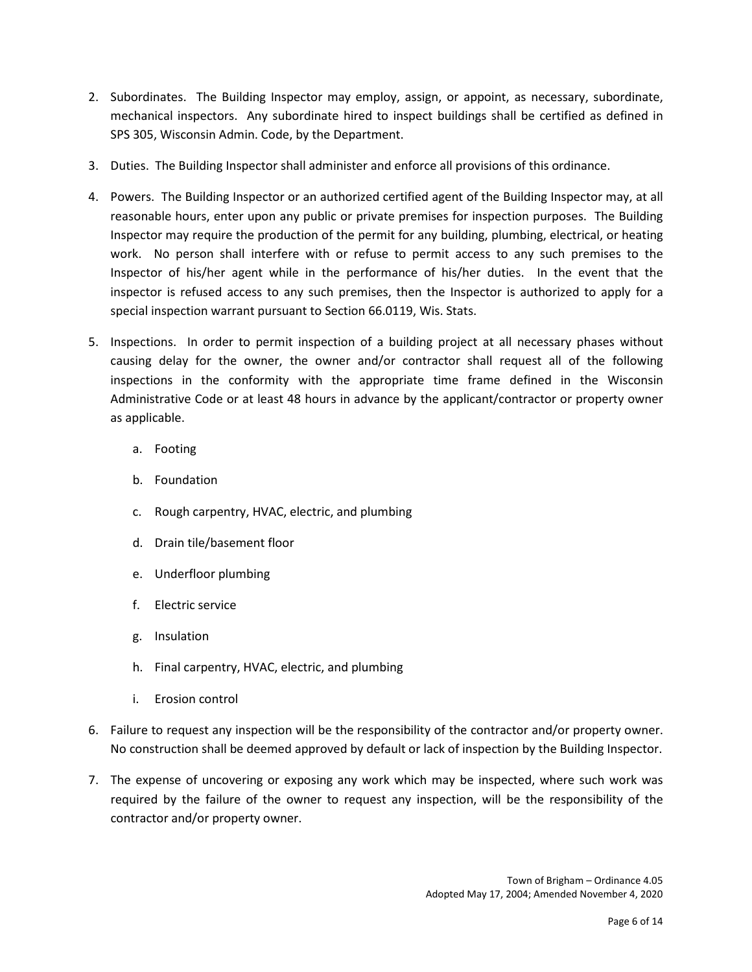- 2. Subordinates. The Building Inspector may employ, assign, or appoint, as necessary, subordinate, mechanical inspectors. Any subordinate hired to inspect buildings shall be certified as defined in SPS 305, Wisconsin Admin. Code, by the Department.
- 3. Duties. The Building Inspector shall administer and enforce all provisions of this ordinance.
- 4. Powers. The Building Inspector or an authorized certified agent of the Building Inspector may, at all reasonable hours, enter upon any public or private premises for inspection purposes. The Building Inspector may require the production of the permit for any building, plumbing, electrical, or heating work. No person shall interfere with or refuse to permit access to any such premises to the Inspector of his/her agent while in the performance of his/her duties. In the event that the inspector is refused access to any such premises, then the Inspector is authorized to apply for a special inspection warrant pursuant to Section 66.0119, Wis. Stats.
- 5. Inspections. In order to permit inspection of a building project at all necessary phases without causing delay for the owner, the owner and/or contractor shall request all of the following inspections in the conformity with the appropriate time frame defined in the Wisconsin Administrative Code or at least 48 hours in advance by the applicant/contractor or property owner as applicable.
	- a. Footing
	- b. Foundation
	- c. Rough carpentry, HVAC, electric, and plumbing
	- d. Drain tile/basement floor
	- e. Underfloor plumbing
	- f. Electric service
	- g. Insulation
	- h. Final carpentry, HVAC, electric, and plumbing
	- i. Erosion control
- 6. Failure to request any inspection will be the responsibility of the contractor and/or property owner. No construction shall be deemed approved by default or lack of inspection by the Building Inspector.
- 7. The expense of uncovering or exposing any work which may be inspected, where such work was required by the failure of the owner to request any inspection, will be the responsibility of the contractor and/or property owner.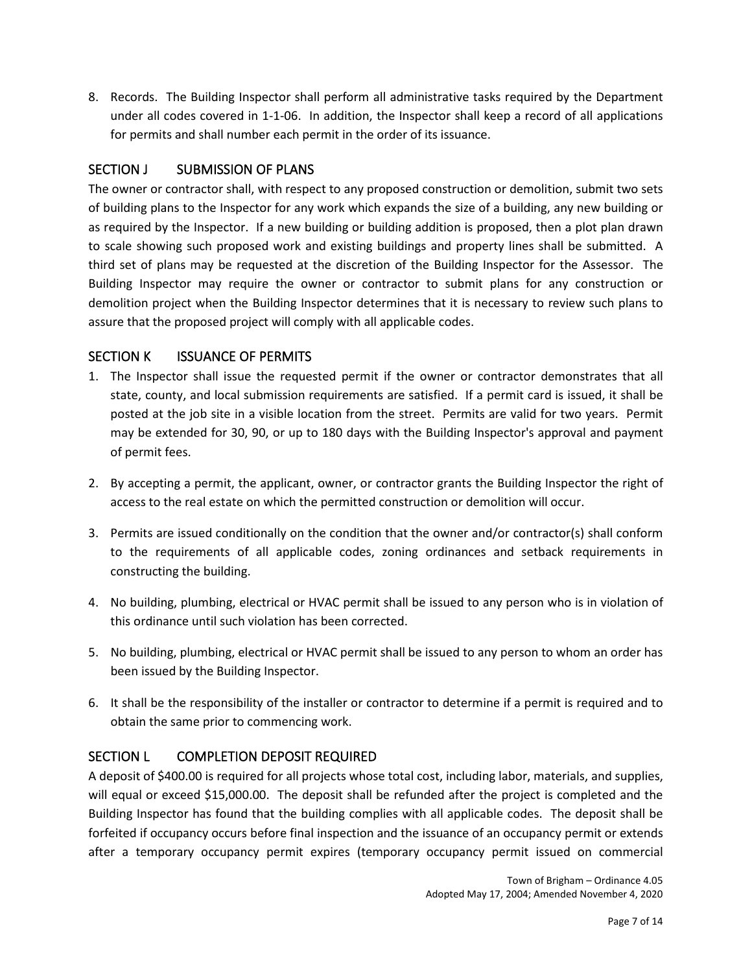8. Records. The Building Inspector shall perform all administrative tasks required by the Department under all codes covered in 1-1-06. In addition, the Inspector shall keep a record of all applications for permits and shall number each permit in the order of its issuance.

# SECTION J SUBMISSION OF PLANS

The owner or contractor shall, with respect to any proposed construction or demolition, submit two sets of building plans to the Inspector for any work which expands the size of a building, any new building or as required by the Inspector. If a new building or building addition is proposed, then a plot plan drawn to scale showing such proposed work and existing buildings and property lines shall be submitted. A third set of plans may be requested at the discretion of the Building Inspector for the Assessor. The Building Inspector may require the owner or contractor to submit plans for any construction or demolition project when the Building Inspector determines that it is necessary to review such plans to assure that the proposed project will comply with all applicable codes.

#### SECTION K ISSUANCE OF PERMITS

- 1. The Inspector shall issue the requested permit if the owner or contractor demonstrates that all state, county, and local submission requirements are satisfied. If a permit card is issued, it shall be posted at the job site in a visible location from the street. Permits are valid for two years. Permit may be extended for 30, 90, or up to 180 days with the Building Inspector's approval and payment of permit fees.
- 2. By accepting a permit, the applicant, owner, or contractor grants the Building Inspector the right of access to the real estate on which the permitted construction or demolition will occur.
- 3. Permits are issued conditionally on the condition that the owner and/or contractor(s) shall conform to the requirements of all applicable codes, zoning ordinances and setback requirements in constructing the building.
- 4. No building, plumbing, electrical or HVAC permit shall be issued to any person who is in violation of this ordinance until such violation has been corrected.
- 5. No building, plumbing, electrical or HVAC permit shall be issued to any person to whom an order has been issued by the Building Inspector.
- 6. It shall be the responsibility of the installer or contractor to determine if a permit is required and to obtain the same prior to commencing work.

#### SECTION L COMPLETION DEPOSIT REQUIRED

A deposit of \$400.00 is required for all projects whose total cost, including labor, materials, and supplies, will equal or exceed \$15,000.00. The deposit shall be refunded after the project is completed and the Building Inspector has found that the building complies with all applicable codes. The deposit shall be forfeited if occupancy occurs before final inspection and the issuance of an occupancy permit or extends after a temporary occupancy permit expires (temporary occupancy permit issued on commercial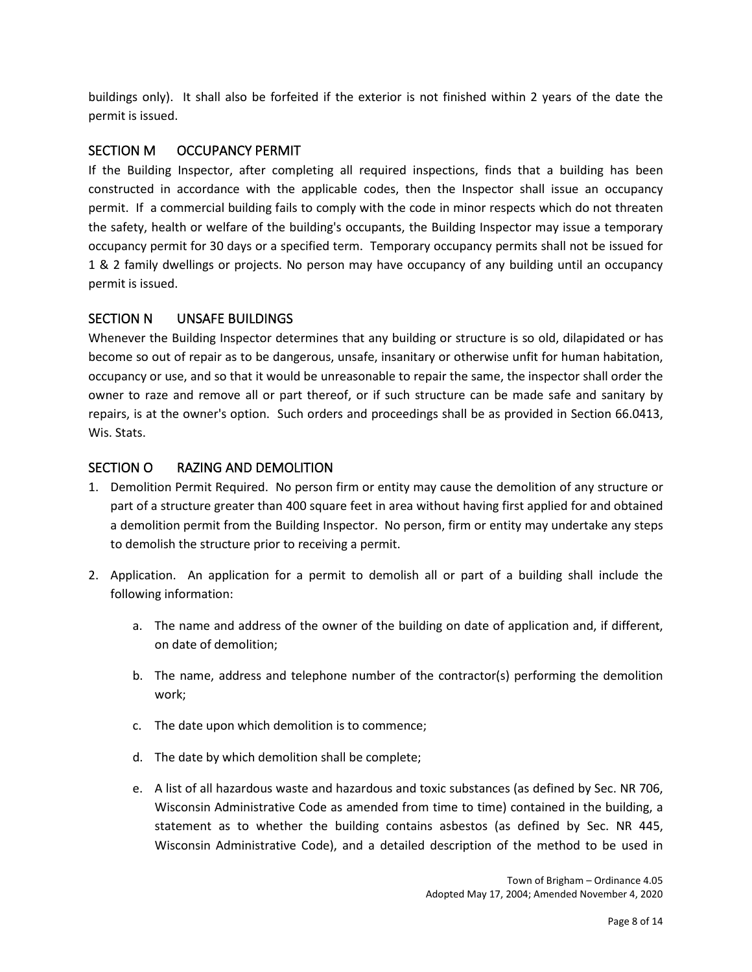buildings only). It shall also be forfeited if the exterior is not finished within 2 years of the date the permit is issued.

# SECTION M OCCUPANCY PERMIT

If the Building Inspector, after completing all required inspections, finds that a building has been constructed in accordance with the applicable codes, then the Inspector shall issue an occupancy permit. If a commercial building fails to comply with the code in minor respects which do not threaten the safety, health or welfare of the building's occupants, the Building Inspector may issue a temporary occupancy permit for 30 days or a specified term. Temporary occupancy permits shall not be issued for 1 & 2 family dwellings or projects. No person may have occupancy of any building until an occupancy permit is issued.

# SECTION N UNSAFE BUILDINGS

Whenever the Building Inspector determines that any building or structure is so old, dilapidated or has become so out of repair as to be dangerous, unsafe, insanitary or otherwise unfit for human habitation, occupancy or use, and so that it would be unreasonable to repair the same, the inspector shall order the owner to raze and remove all or part thereof, or if such structure can be made safe and sanitary by repairs, is at the owner's option. Such orders and proceedings shall be as provided in Section 66.0413, Wis. Stats.

# SECTION O RAZING AND DEMOLITION

- 1. Demolition Permit Required. No person firm or entity may cause the demolition of any structure or part of a structure greater than 400 square feet in area without having first applied for and obtained a demolition permit from the Building Inspector. No person, firm or entity may undertake any steps to demolish the structure prior to receiving a permit.
- 2. Application. An application for a permit to demolish all or part of a building shall include the following information:
	- a. The name and address of the owner of the building on date of application and, if different, on date of demolition;
	- b. The name, address and telephone number of the contractor(s) performing the demolition work;
	- c. The date upon which demolition is to commence;
	- d. The date by which demolition shall be complete;
	- e. A list of all hazardous waste and hazardous and toxic substances (as defined by Sec. NR 706, Wisconsin Administrative Code as amended from time to time) contained in the building, a statement as to whether the building contains asbestos (as defined by Sec. NR 445, Wisconsin Administrative Code), and a detailed description of the method to be used in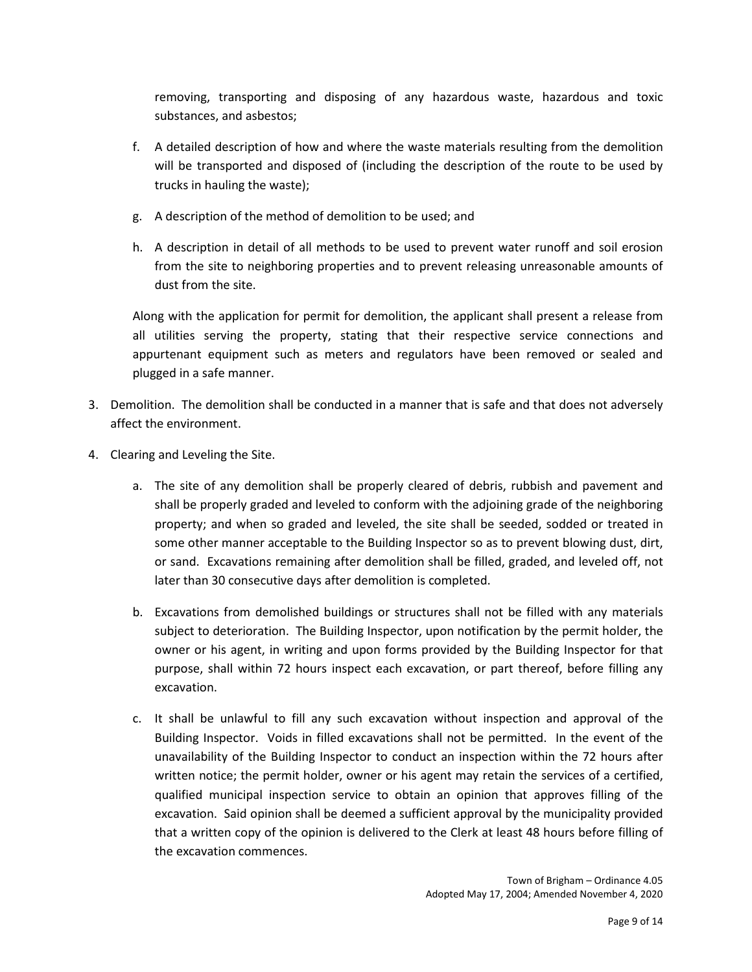removing, transporting and disposing of any hazardous waste, hazardous and toxic substances, and asbestos;

- f. A detailed description of how and where the waste materials resulting from the demolition will be transported and disposed of (including the description of the route to be used by trucks in hauling the waste);
- g. A description of the method of demolition to be used; and
- h. A description in detail of all methods to be used to prevent water runoff and soil erosion from the site to neighboring properties and to prevent releasing unreasonable amounts of dust from the site.

Along with the application for permit for demolition, the applicant shall present a release from all utilities serving the property, stating that their respective service connections and appurtenant equipment such as meters and regulators have been removed or sealed and plugged in a safe manner.

- 3. Demolition. The demolition shall be conducted in a manner that is safe and that does not adversely affect the environment.
- 4. Clearing and Leveling the Site.
	- a. The site of any demolition shall be properly cleared of debris, rubbish and pavement and shall be properly graded and leveled to conform with the adjoining grade of the neighboring property; and when so graded and leveled, the site shall be seeded, sodded or treated in some other manner acceptable to the Building Inspector so as to prevent blowing dust, dirt, or sand. Excavations remaining after demolition shall be filled, graded, and leveled off, not later than 30 consecutive days after demolition is completed.
	- b. Excavations from demolished buildings or structures shall not be filled with any materials subject to deterioration. The Building Inspector, upon notification by the permit holder, the owner or his agent, in writing and upon forms provided by the Building Inspector for that purpose, shall within 72 hours inspect each excavation, or part thereof, before filling any excavation.
	- c. It shall be unlawful to fill any such excavation without inspection and approval of the Building Inspector. Voids in filled excavations shall not be permitted. In the event of the unavailability of the Building Inspector to conduct an inspection within the 72 hours after written notice; the permit holder, owner or his agent may retain the services of a certified, qualified municipal inspection service to obtain an opinion that approves filling of the excavation. Said opinion shall be deemed a sufficient approval by the municipality provided that a written copy of the opinion is delivered to the Clerk at least 48 hours before filling of the excavation commences.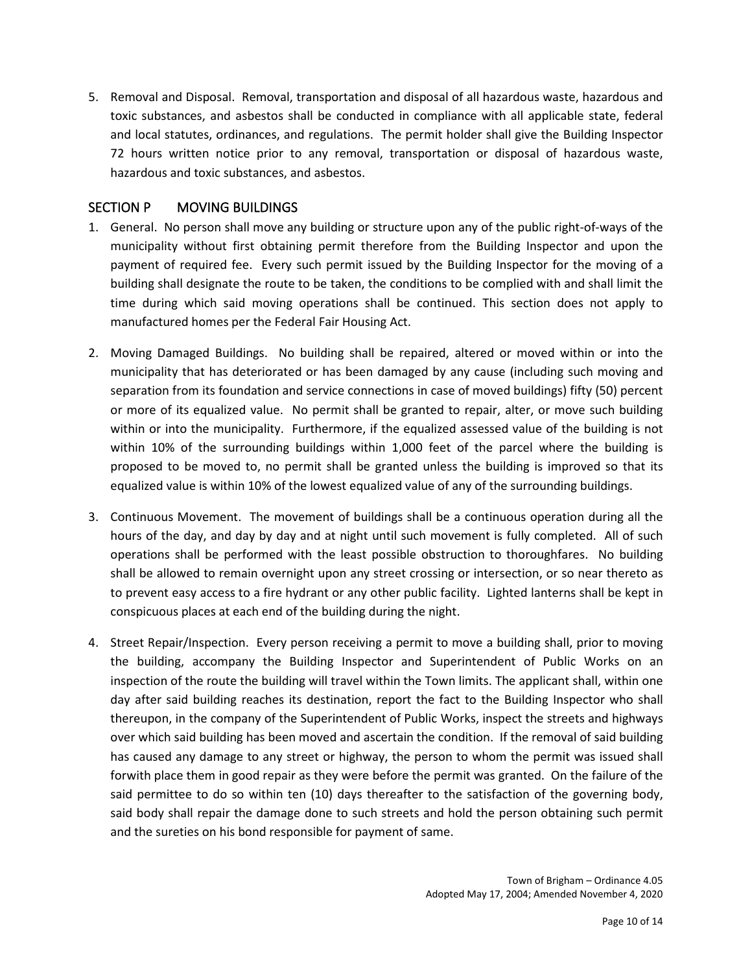5. Removal and Disposal. Removal, transportation and disposal of all hazardous waste, hazardous and toxic substances, and asbestos shall be conducted in compliance with all applicable state, federal and local statutes, ordinances, and regulations. The permit holder shall give the Building Inspector 72 hours written notice prior to any removal, transportation or disposal of hazardous waste, hazardous and toxic substances, and asbestos.

# SECTION P MOVING BUILDINGS

- 1. General. No person shall move any building or structure upon any of the public right-of-ways of the municipality without first obtaining permit therefore from the Building Inspector and upon the payment of required fee. Every such permit issued by the Building Inspector for the moving of a building shall designate the route to be taken, the conditions to be complied with and shall limit the time during which said moving operations shall be continued. This section does not apply to manufactured homes per the Federal Fair Housing Act.
- 2. Moving Damaged Buildings. No building shall be repaired, altered or moved within or into the municipality that has deteriorated or has been damaged by any cause (including such moving and separation from its foundation and service connections in case of moved buildings) fifty (50) percent or more of its equalized value. No permit shall be granted to repair, alter, or move such building within or into the municipality. Furthermore, if the equalized assessed value of the building is not within 10% of the surrounding buildings within 1,000 feet of the parcel where the building is proposed to be moved to, no permit shall be granted unless the building is improved so that its equalized value is within 10% of the lowest equalized value of any of the surrounding buildings.
- 3. Continuous Movement. The movement of buildings shall be a continuous operation during all the hours of the day, and day by day and at night until such movement is fully completed. All of such operations shall be performed with the least possible obstruction to thoroughfares. No building shall be allowed to remain overnight upon any street crossing or intersection, or so near thereto as to prevent easy access to a fire hydrant or any other public facility. Lighted lanterns shall be kept in conspicuous places at each end of the building during the night.
- 4. Street Repair/Inspection. Every person receiving a permit to move a building shall, prior to moving the building, accompany the Building Inspector and Superintendent of Public Works on an inspection of the route the building will travel within the Town limits. The applicant shall, within one day after said building reaches its destination, report the fact to the Building Inspector who shall thereupon, in the company of the Superintendent of Public Works, inspect the streets and highways over which said building has been moved and ascertain the condition. If the removal of said building has caused any damage to any street or highway, the person to whom the permit was issued shall forwith place them in good repair as they were before the permit was granted. On the failure of the said permittee to do so within ten (10) days thereafter to the satisfaction of the governing body, said body shall repair the damage done to such streets and hold the person obtaining such permit and the sureties on his bond responsible for payment of same.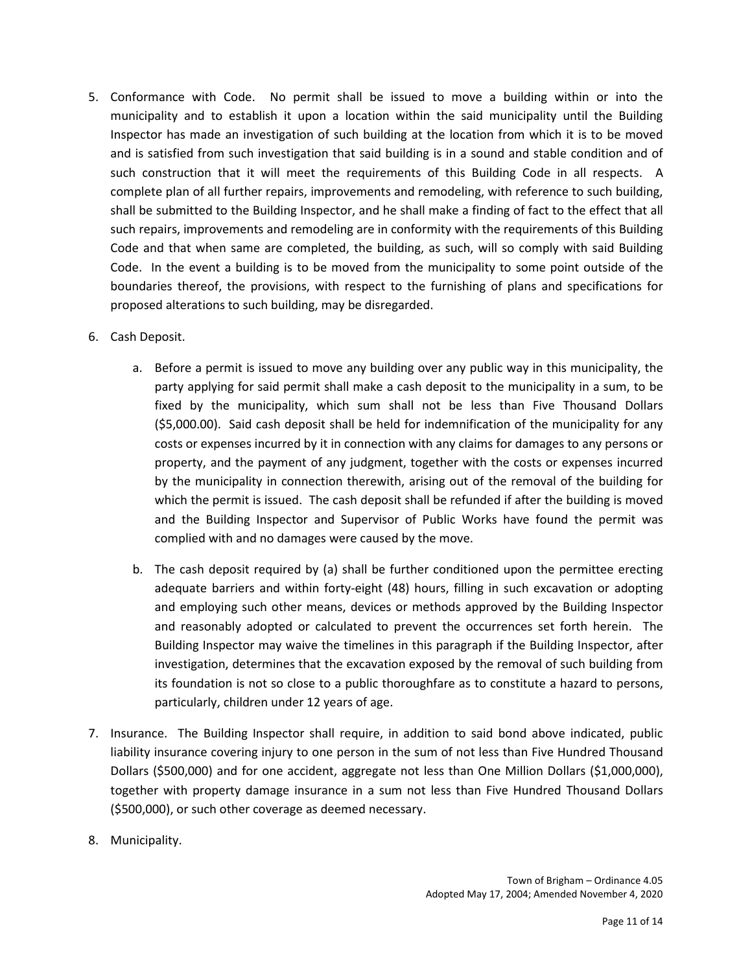- 5. Conformance with Code. No permit shall be issued to move a building within or into the municipality and to establish it upon a location within the said municipality until the Building Inspector has made an investigation of such building at the location from which it is to be moved and is satisfied from such investigation that said building is in a sound and stable condition and of such construction that it will meet the requirements of this Building Code in all respects. A complete plan of all further repairs, improvements and remodeling, with reference to such building, shall be submitted to the Building Inspector, and he shall make a finding of fact to the effect that all such repairs, improvements and remodeling are in conformity with the requirements of this Building Code and that when same are completed, the building, as such, will so comply with said Building Code. In the event a building is to be moved from the municipality to some point outside of the boundaries thereof, the provisions, with respect to the furnishing of plans and specifications for proposed alterations to such building, may be disregarded.
- 6. Cash Deposit.
	- a. Before a permit is issued to move any building over any public way in this municipality, the party applying for said permit shall make a cash deposit to the municipality in a sum, to be fixed by the municipality, which sum shall not be less than Five Thousand Dollars (\$5,000.00). Said cash deposit shall be held for indemnification of the municipality for any costs or expenses incurred by it in connection with any claims for damages to any persons or property, and the payment of any judgment, together with the costs or expenses incurred by the municipality in connection therewith, arising out of the removal of the building for which the permit is issued. The cash deposit shall be refunded if after the building is moved and the Building Inspector and Supervisor of Public Works have found the permit was complied with and no damages were caused by the move.
	- b. The cash deposit required by (a) shall be further conditioned upon the permittee erecting adequate barriers and within forty-eight (48) hours, filling in such excavation or adopting and employing such other means, devices or methods approved by the Building Inspector and reasonably adopted or calculated to prevent the occurrences set forth herein. The Building Inspector may waive the timelines in this paragraph if the Building Inspector, after investigation, determines that the excavation exposed by the removal of such building from its foundation is not so close to a public thoroughfare as to constitute a hazard to persons, particularly, children under 12 years of age.
- 7. Insurance. The Building Inspector shall require, in addition to said bond above indicated, public liability insurance covering injury to one person in the sum of not less than Five Hundred Thousand Dollars (\$500,000) and for one accident, aggregate not less than One Million Dollars (\$1,000,000), together with property damage insurance in a sum not less than Five Hundred Thousand Dollars (\$500,000), or such other coverage as deemed necessary.
- 8. Municipality.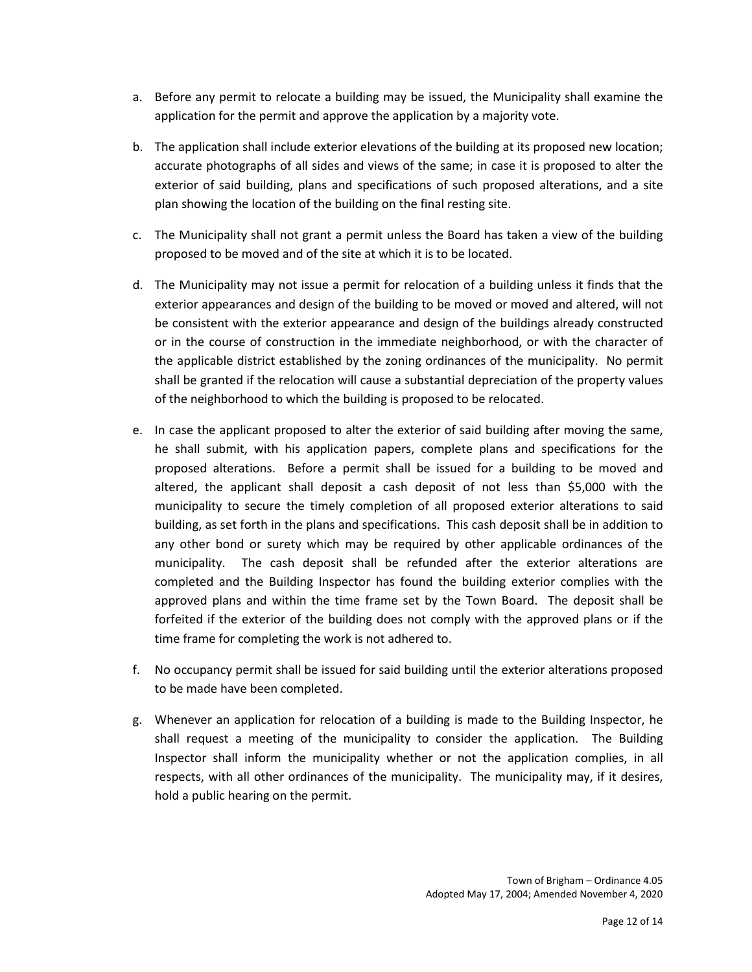- a. Before any permit to relocate a building may be issued, the Municipality shall examine the application for the permit and approve the application by a majority vote.
- b. The application shall include exterior elevations of the building at its proposed new location; accurate photographs of all sides and views of the same; in case it is proposed to alter the exterior of said building, plans and specifications of such proposed alterations, and a site plan showing the location of the building on the final resting site.
- c. The Municipality shall not grant a permit unless the Board has taken a view of the building proposed to be moved and of the site at which it is to be located.
- d. The Municipality may not issue a permit for relocation of a building unless it finds that the exterior appearances and design of the building to be moved or moved and altered, will not be consistent with the exterior appearance and design of the buildings already constructed or in the course of construction in the immediate neighborhood, or with the character of the applicable district established by the zoning ordinances of the municipality. No permit shall be granted if the relocation will cause a substantial depreciation of the property values of the neighborhood to which the building is proposed to be relocated.
- e. In case the applicant proposed to alter the exterior of said building after moving the same, he shall submit, with his application papers, complete plans and specifications for the proposed alterations. Before a permit shall be issued for a building to be moved and altered, the applicant shall deposit a cash deposit of not less than \$5,000 with the municipality to secure the timely completion of all proposed exterior alterations to said building, as set forth in the plans and specifications. This cash deposit shall be in addition to any other bond or surety which may be required by other applicable ordinances of the municipality. The cash deposit shall be refunded after the exterior alterations are completed and the Building Inspector has found the building exterior complies with the approved plans and within the time frame set by the Town Board. The deposit shall be forfeited if the exterior of the building does not comply with the approved plans or if the time frame for completing the work is not adhered to.
- f. No occupancy permit shall be issued for said building until the exterior alterations proposed to be made have been completed.
- g. Whenever an application for relocation of a building is made to the Building Inspector, he shall request a meeting of the municipality to consider the application. The Building Inspector shall inform the municipality whether or not the application complies, in all respects, with all other ordinances of the municipality. The municipality may, if it desires, hold a public hearing on the permit.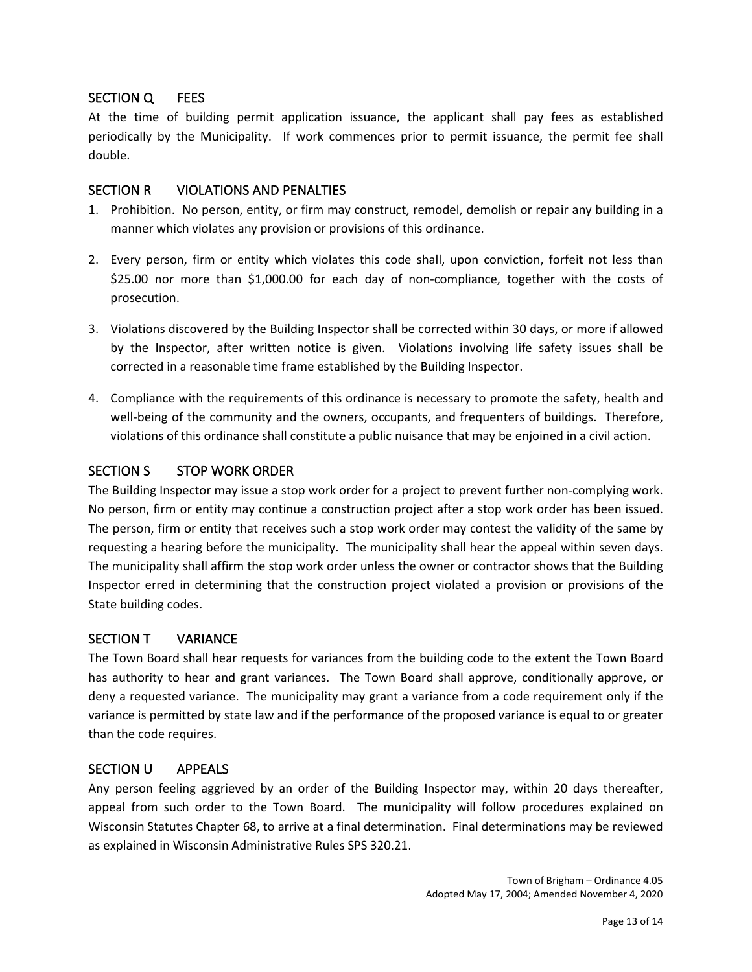#### SECTION Q FEES

At the time of building permit application issuance, the applicant shall pay fees as established periodically by the Municipality. If work commences prior to permit issuance, the permit fee shall double.

#### SECTION R VIOLATIONS AND PENALTIES

- 1. Prohibition. No person, entity, or firm may construct, remodel, demolish or repair any building in a manner which violates any provision or provisions of this ordinance.
- 2. Every person, firm or entity which violates this code shall, upon conviction, forfeit not less than \$25.00 nor more than \$1,000.00 for each day of non-compliance, together with the costs of prosecution.
- 3. Violations discovered by the Building Inspector shall be corrected within 30 days, or more if allowed by the Inspector, after written notice is given. Violations involving life safety issues shall be corrected in a reasonable time frame established by the Building Inspector.
- 4. Compliance with the requirements of this ordinance is necessary to promote the safety, health and well-being of the community and the owners, occupants, and frequenters of buildings. Therefore, violations of this ordinance shall constitute a public nuisance that may be enjoined in a civil action.

#### SECTION S STOP WORK ORDER

The Building Inspector may issue a stop work order for a project to prevent further non-complying work. No person, firm or entity may continue a construction project after a stop work order has been issued. The person, firm or entity that receives such a stop work order may contest the validity of the same by requesting a hearing before the municipality. The municipality shall hear the appeal within seven days. The municipality shall affirm the stop work order unless the owner or contractor shows that the Building Inspector erred in determining that the construction project violated a provision or provisions of the State building codes.

#### SECTION T VARIANCE

The Town Board shall hear requests for variances from the building code to the extent the Town Board has authority to hear and grant variances. The Town Board shall approve, conditionally approve, or deny a requested variance. The municipality may grant a variance from a code requirement only if the variance is permitted by state law and if the performance of the proposed variance is equal to or greater than the code requires.

#### SECTION U APPEALS

Any person feeling aggrieved by an order of the Building Inspector may, within 20 days thereafter, appeal from such order to the Town Board. The municipality will follow procedures explained on Wisconsin Statutes Chapter 68, to arrive at a final determination. Final determinations may be reviewed as explained in Wisconsin Administrative Rules SPS 320.21.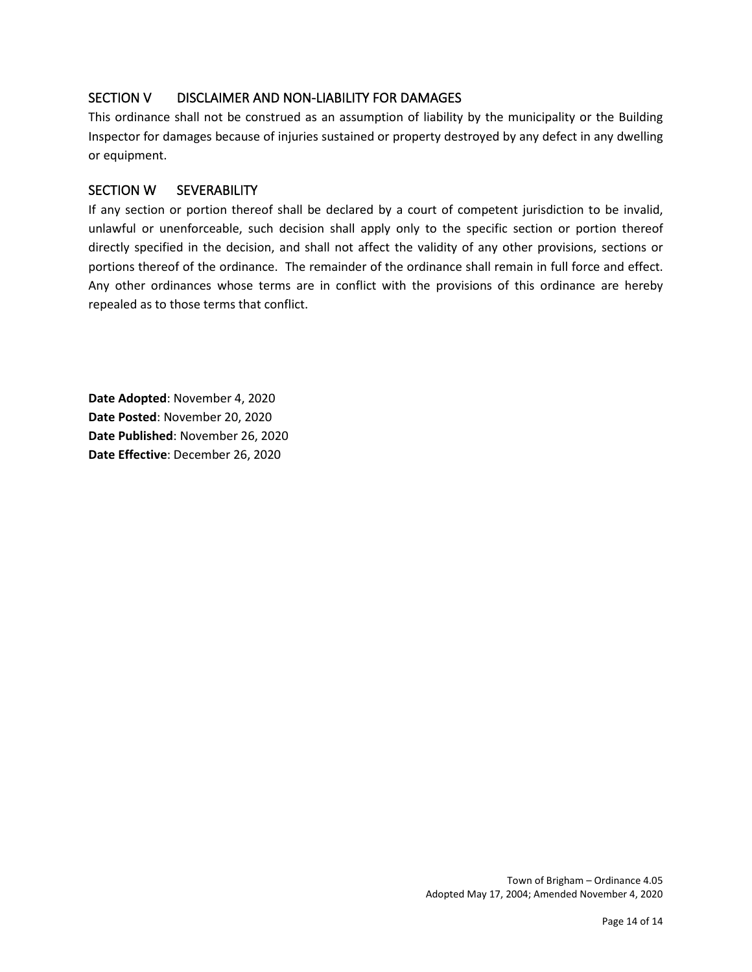# SECTION V DISCLAIMER AND NON-LIABILITY FOR DAMAGES

This ordinance shall not be construed as an assumption of liability by the municipality or the Building Inspector for damages because of injuries sustained or property destroyed by any defect in any dwelling or equipment.

#### SECTION W SEVERABILITY

If any section or portion thereof shall be declared by a court of competent jurisdiction to be invalid, unlawful or unenforceable, such decision shall apply only to the specific section or portion thereof directly specified in the decision, and shall not affect the validity of any other provisions, sections or portions thereof of the ordinance. The remainder of the ordinance shall remain in full force and effect. Any other ordinances whose terms are in conflict with the provisions of this ordinance are hereby repealed as to those terms that conflict.

**Date Adopted**: November 4, 2020 **Date Posted**: November 20, 2020 **Date Published**: November 26, 2020 **Date Effective**: December 26, 2020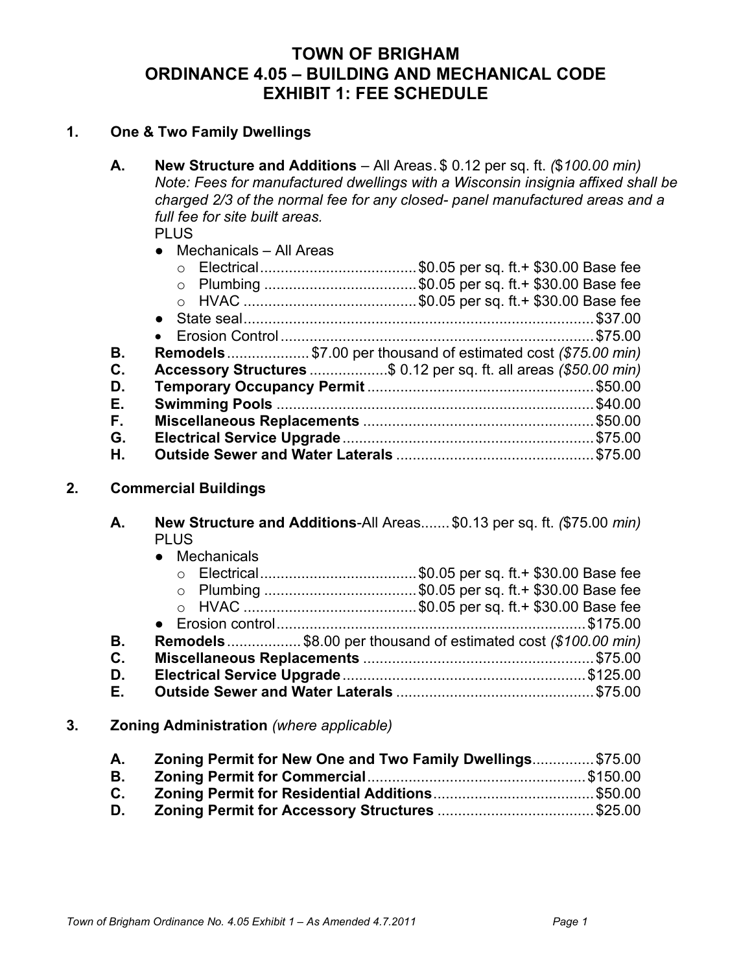# **TOWN OF BRIGHAM ORDINANCE 4.05 – BUILDING AND MECHANICAL CODE EXHIBIT 1: FEE SCHEDULE**

# **1. One & Two Family Dwellings**

**A. New Structure and Additions** – All Areas. \$ 0.12 per sq. ft. *(*\$*100.00 min) Note: Fees for manufactured dwellings with a Wisconsin insignia affixed shall be charged 2/3 of the normal fee for any closed- panel manufactured areas and a full fee for site built areas.*

PLUS.

● Mechanicals – All Areas

|    | ○ Electrical\$0.05 per sq. ft. + \$30.00 Base fee                   |
|----|---------------------------------------------------------------------|
|    | O Plumbing \$0.05 per sq. ft.+ \$30.00 Base fee                     |
|    |                                                                     |
|    |                                                                     |
|    |                                                                     |
| В. | <b>Remodels</b> \$7.00 per thousand of estimated cost (\$75.00 min) |
| C. | Accessory Structures \$ 0.12 per sq. ft. all areas (\$50.00 min)    |
| D. |                                                                     |
| Е. |                                                                     |
| F. |                                                                     |
| G. |                                                                     |
| Η. |                                                                     |

# **2. Commercial Buildings**

| А. |               | New Structure and Additions-All Areas \$0.13 per sq. ft. (\$75.00 min) |
|----|---------------|------------------------------------------------------------------------|
|    | <b>PLUS</b>   |                                                                        |
|    | • Mechanicals |                                                                        |
|    |               | ○ Electrical\$0.05 per sq. ft. + \$30.00 Base fee                      |
|    |               | ○ Plumbing \$0.05 per sq. ft.+ \$30.00 Base fee                        |
|    |               |                                                                        |

● Erosion control...........................................................................\$175.00 **B. Remodels**.................. \$8.00 per thousand of estimated cost *(\$100.00 min)* **C. Miscellaneous Replacements** ........................................................\$75.00 **D. Electrical Service Upgrade**...........................................................\$125.00 **E. Outside Sewer and Water Laterals** ................................................\$75.00

**3. Zoning Administration** *(where applicable)*

| А.             | Zoning Permit for New One and Two Family Dwellings \$75.00 |  |
|----------------|------------------------------------------------------------|--|
| В.             |                                                            |  |
| $\mathbf{C}$ . |                                                            |  |
| D.             |                                                            |  |